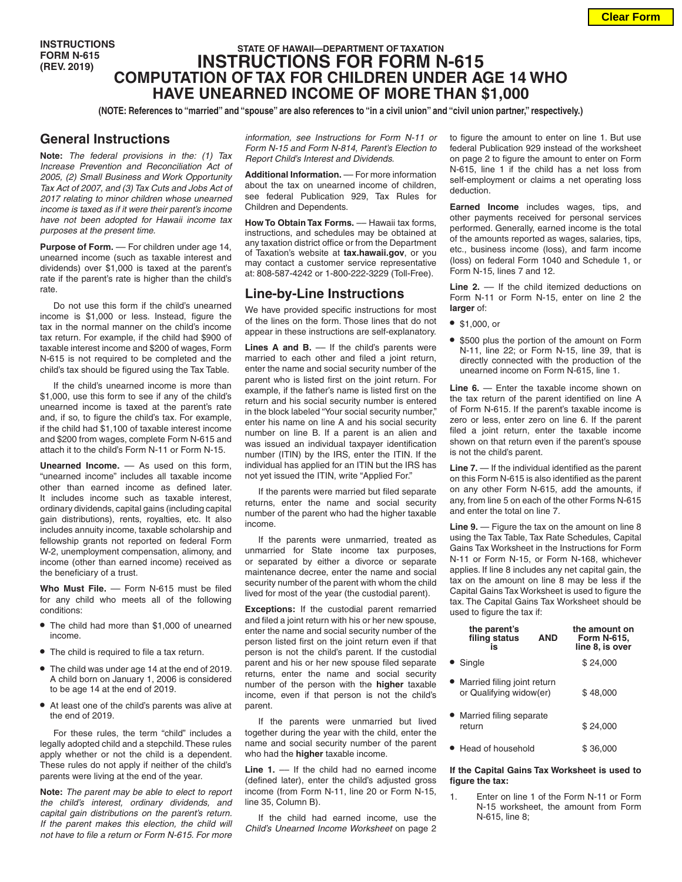**INSTRUCTIONS FORM N-615 (REV. 2019)**

# **STATE OF HAWAII—DEPARTMENT OF TAXATION INSTRUCTIONS FOR FORM N-615 COMPUTATION OF TAX FOR CHILDREN UNDER AGE 14 WHO HAVE UNEARNED INCOME OF MORE THAN \$1,000**

**(NOTE: References to "married" and "spouse" are also references to "in a civil union" and "civil union partner," respectively.)**

### **General Instructions**

**Note:** *The federal provisions in the: (1) Tax Increase Prevention and Reconciliation Act of 2005, (2) Small Business and Work Opportunity Tax Act of 2007, and (3) Tax Cuts and Jobs Act of 2017 relating to minor children whose unearned income is taxed as if it were their parent's income have not been adopted for Hawaii income tax purposes at the present time.*

Purpose of Form. - For children under age 14, unearned income (such as taxable interest and dividends) over \$1,000 is taxed at the parent's rate if the parent's rate is higher than the child's rate.

Do not use this form if the child's unearned income is \$1,000 or less. Instead, figure the tax in the normal manner on the child's income tax return. For example, if the child had \$900 of taxable interest income and \$200 of wages, Form N-615 is not required to be completed and the child's tax should be figured using the Tax Table.

If the child's unearned income is more than \$1,000, use this form to see if any of the child's unearned income is taxed at the parent's rate and, if so, to figure the child's tax. For example, if the child had \$1,100 of taxable interest income and \$200 from wages, complete Form N-615 and attach it to the child's Form N-11 or Form N-15.

**Unearned Income.** –– As used on this form, "unearned income" includes all taxable income other than earned income as defined later. It includes income such as taxable interest, ordinary dividends, capital gains (including capital gain distributions), rents, royalties, etc. It also includes annuity income, taxable scholarship and fellowship grants not reported on federal Form W-2, unemployment compensation, alimony, and income (other than earned income) received as the beneficiary of a trust.

Who Must File. - Form N-615 must be filed for any child who meets all of the following conditions:

- **•** The child had more than \$1,000 of unearned income.
- **•** The child is required to file a tax return.
- **•** The child was under age 14 at the end of 2019. A child born on January 1, 2006 is considered to be age 14 at the end of 2019.
- **•** At least one of the child's parents was alive at the end of 2019.

For these rules, the term "child" includes a legally adopted child and a stepchild. These rules apply whether or not the child is a dependent. These rules do not apply if neither of the child's parents were living at the end of the year.

**Note:** *The parent may be able to elect to report the child's interest, ordinary dividends, and capital gain distributions on the parent's return. If the parent makes this election, the child will not have to file a return or Form N-615. For more*  *information, see Instructions for Form N-11 or Form N-15 and Form N-814, Parent's Election to Report Child's Interest and Dividends.*

**Additional Information.** –– For more information about the tax on unearned income of children, see federal Publication 929, Tax Rules for Children and Dependents.

**How To Obtain Tax Forms.** –– Hawaii tax forms, instructions, and schedules may be obtained at any taxation district office or from the Department of Taxation's website at **tax.hawaii.gov**, or you may contact a customer service representative at: 808-587-4242 or 1-800-222-3229 (Toll-Free).

## **Line-by-Line Instructions**

We have provided specific instructions for most of the lines on the form. Those lines that do not appear in these instructions are self-explanatory.

Lines A and B. — If the child's parents were married to each other and filed a joint return, enter the name and social security number of the parent who is listed first on the joint return. For example, if the father's name is listed first on the return and his social security number is entered in the block labeled "Your social security number," enter his name on line A and his social security number on line B. If a parent is an alien and was issued an individual taxpayer identification number (ITIN) by the IRS, enter the ITIN. If the individual has applied for an ITIN but the IRS has not yet issued the ITIN, write "Applied For."

If the parents were married but filed separate returns, enter the name and social security number of the parent who had the higher taxable income.

If the parents were unmarried, treated as unmarried for State income tax purposes, or separated by either a divorce or separate maintenance decree, enter the name and social security number of the parent with whom the child lived for most of the year (the custodial parent).

**Exceptions:** If the custodial parent remarried and filed a joint return with his or her new spouse, enter the name and social security number of the person listed first on the joint return even if that person is not the child's parent. If the custodial parent and his or her new spouse filed separate returns, enter the name and social security number of the person with the **higher** taxable income, even if that person is not the child's parent.

If the parents were unmarried but lived together during the year with the child, enter the name and social security number of the parent who had the **higher** taxable income.

**Line 1.** –– If the child had no earned income (defined later), enter the child's adjusted gross income (from Form N-11, line 20 or Form N-15, line 35, Column B).

If the child had earned income, use the *Child's Unearned Income Worksheet* on page 2 to figure the amount to enter on line 1. But use federal Publication 929 instead of the worksheet on page 2 to figure the amount to enter on Form N-615, line 1 if the child has a net loss from self-employment or claims a net operating loss deduction.

**Earned Income** includes wages, tips, and other payments received for personal services performed. Generally, earned income is the total of the amounts reported as wages, salaries, tips, etc., business income (loss), and farm income (loss) on federal Form 1040 and Schedule 1, or Form N-15, lines 7 and 12.

Line 2. –– If the child itemized deductions on Form N-11 or Form N-15, enter on line 2 the **larger** of:

- **•** \$1,000, or
- **•** \$500 plus the portion of the amount on Form N-11, line 22; or Form N-15, line 39, that is directly connected with the production of the unearned income on Form N-615, line 1.

**Line 6.** — Enter the taxable income shown on the tax return of the parent identified on line A of Form N-615. If the parent's taxable income is zero or less, enter zero on line 6. If the parent filed a joint return, enter the taxable income shown on that return even if the parent's spouse is not the child's parent.

**Line 7.** — If the individual identified as the parent on this Form N-615 is also identified as the parent on any other Form N-615, add the amounts, if any, from line 5 on each of the other Forms N-615 and enter the total on line 7.

**Line 9.** — Figure the tax on the amount on line 8 using the Tax Table, Tax Rate Schedules, Capital Gains Tax Worksheet in the Instructions for Form N-11 or Form N-15, or Form N-168, whichever applies. If line 8 includes any net capital gain, the tax on the amount on line 8 may be less if the Capital Gains Tax Worksheet is used to figure the tax. The Capital Gains Tax Worksheet should be used to figure the tax if:

| the parent's<br>filing status<br>is                      | <b>AND</b> | the amount on<br><b>Form N-615,</b><br>line 8, is over |
|----------------------------------------------------------|------------|--------------------------------------------------------|
| • Single                                                 |            | \$24.000                                               |
| • Married filing joint return<br>or Qualifying widow(er) |            | \$48.000                                               |
| Married filing separate<br>return                        |            | \$24.000                                               |
| ● Head of household                                      |            | \$36.000                                               |

#### **If the Capital Gains Tax Worksheet is used to figure the tax:**

1. Enter on line 1 of the Form N-11 or Form N-15 worksheet, the amount from Form N-615, line 8;